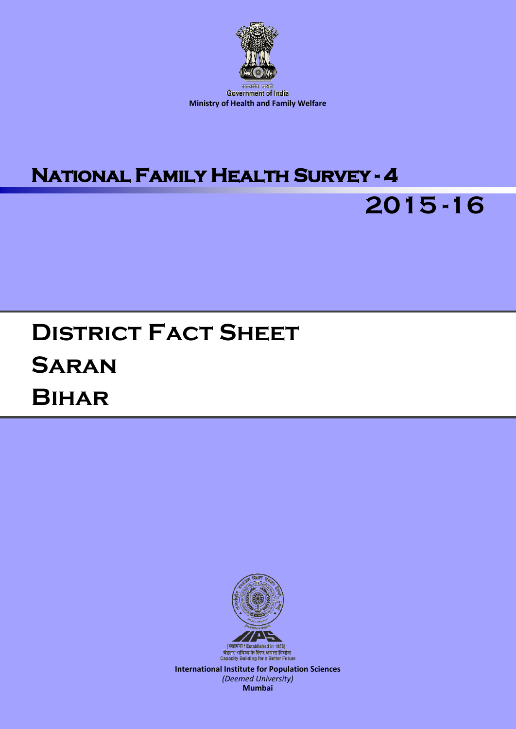

# **National Family Health Survey - 4**



# **District Fact Sheet Saran Bihar**



**International Institute for Population Sciences** *(Deemed University)* **Mumbai**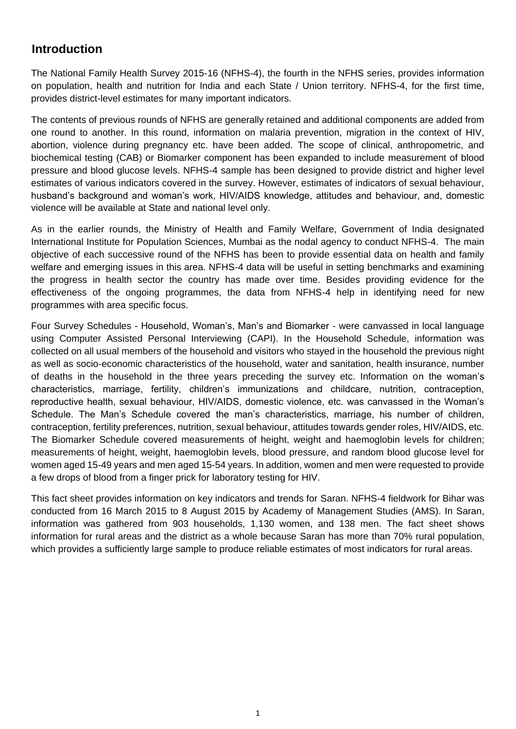#### **Introduction**

The National Family Health Survey 2015-16 (NFHS-4), the fourth in the NFHS series, provides information on population, health and nutrition for India and each State / Union territory. NFHS-4, for the first time, provides district-level estimates for many important indicators.

The contents of previous rounds of NFHS are generally retained and additional components are added from one round to another. In this round, information on malaria prevention, migration in the context of HIV, abortion, violence during pregnancy etc. have been added. The scope of clinical, anthropometric, and biochemical testing (CAB) or Biomarker component has been expanded to include measurement of blood pressure and blood glucose levels. NFHS-4 sample has been designed to provide district and higher level estimates of various indicators covered in the survey. However, estimates of indicators of sexual behaviour, husband's background and woman's work, HIV/AIDS knowledge, attitudes and behaviour, and, domestic violence will be available at State and national level only.

As in the earlier rounds, the Ministry of Health and Family Welfare, Government of India designated International Institute for Population Sciences, Mumbai as the nodal agency to conduct NFHS-4. The main objective of each successive round of the NFHS has been to provide essential data on health and family welfare and emerging issues in this area. NFHS-4 data will be useful in setting benchmarks and examining the progress in health sector the country has made over time. Besides providing evidence for the effectiveness of the ongoing programmes, the data from NFHS-4 help in identifying need for new programmes with area specific focus.

Four Survey Schedules - Household, Woman's, Man's and Biomarker - were canvassed in local language using Computer Assisted Personal Interviewing (CAPI). In the Household Schedule, information was collected on all usual members of the household and visitors who stayed in the household the previous night as well as socio-economic characteristics of the household, water and sanitation, health insurance, number of deaths in the household in the three years preceding the survey etc. Information on the woman's characteristics, marriage, fertility, children's immunizations and childcare, nutrition, contraception, reproductive health, sexual behaviour, HIV/AIDS, domestic violence, etc. was canvassed in the Woman's Schedule. The Man's Schedule covered the man's characteristics, marriage, his number of children, contraception, fertility preferences, nutrition, sexual behaviour, attitudes towards gender roles, HIV/AIDS, etc. The Biomarker Schedule covered measurements of height, weight and haemoglobin levels for children; measurements of height, weight, haemoglobin levels, blood pressure, and random blood glucose level for women aged 15-49 years and men aged 15-54 years. In addition, women and men were requested to provide a few drops of blood from a finger prick for laboratory testing for HIV.

This fact sheet provides information on key indicators and trends for Saran. NFHS-4 fieldwork for Bihar was conducted from 16 March 2015 to 8 August 2015 by Academy of Management Studies (AMS). In Saran, information was gathered from 903 households, 1,130 women, and 138 men. The fact sheet shows information for rural areas and the district as a whole because Saran has more than 70% rural population, which provides a sufficiently large sample to produce reliable estimates of most indicators for rural areas.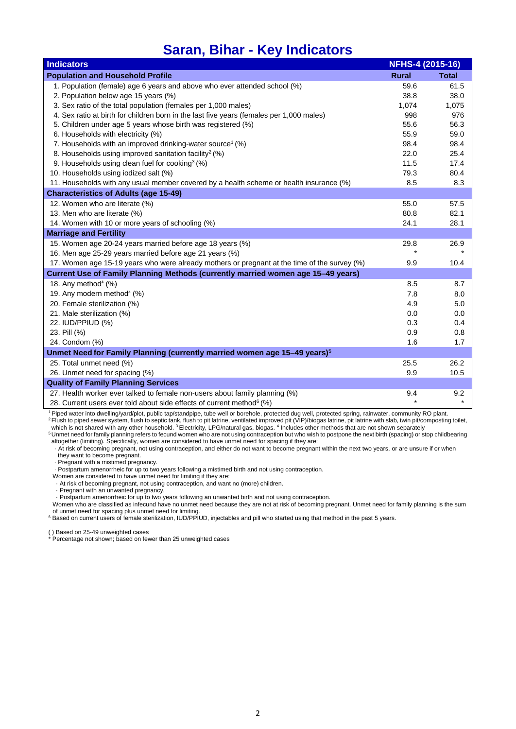### **Saran, Bihar - Key Indicators**

| <b>Indicators</b>                                                                            | NFHS-4 (2015-16) |              |
|----------------------------------------------------------------------------------------------|------------------|--------------|
| <b>Population and Household Profile</b>                                                      | <b>Rural</b>     | <b>Total</b> |
| 1. Population (female) age 6 years and above who ever attended school (%)                    | 59.6             | 61.5         |
| 2. Population below age 15 years (%)                                                         | 38.8             | 38.0         |
| 3. Sex ratio of the total population (females per 1,000 males)                               | 1,074            | 1,075        |
| 4. Sex ratio at birth for children born in the last five years (females per 1,000 males)     | 998              | 976          |
| 5. Children under age 5 years whose birth was registered (%)                                 | 55.6             | 56.3         |
| 6. Households with electricity (%)                                                           | 55.9             | 59.0         |
| 7. Households with an improved drinking-water source <sup>1</sup> (%)                        | 98.4             | 98.4         |
| 8. Households using improved sanitation facility <sup>2</sup> (%)                            | 22.0             | 25.4         |
| 9. Households using clean fuel for cooking <sup>3</sup> (%)                                  | 11.5             | 17.4         |
| 10. Households using iodized salt (%)                                                        | 79.3             | 80.4         |
| 11. Households with any usual member covered by a health scheme or health insurance (%)      | 8.5              | 8.3          |
| <b>Characteristics of Adults (age 15-49)</b>                                                 |                  |              |
| 12. Women who are literate (%)                                                               | 55.0             | 57.5         |
| 13. Men who are literate (%)                                                                 | 80.8             | 82.1         |
| 14. Women with 10 or more years of schooling (%)                                             | 24.1             | 28.1         |
| <b>Marriage and Fertility</b>                                                                |                  |              |
| 15. Women age 20-24 years married before age 18 years (%)                                    | 29.8             | 26.9         |
| 16. Men age 25-29 years married before age 21 years (%)                                      |                  |              |
| 17. Women age 15-19 years who were already mothers or pregnant at the time of the survey (%) | 9.9              | 10.4         |
| Current Use of Family Planning Methods (currently married women age 15-49 years)             |                  |              |
| 18. Any method <sup>4</sup> (%)                                                              | 8.5              | 8.7          |
| 19. Any modern method <sup>4</sup> (%)                                                       | 7.8              | 8.0          |
| 20. Female sterilization (%)                                                                 | 4.9              | 5.0          |
| 21. Male sterilization (%)                                                                   | 0.0              | 0.0          |
| 22. IUD/PPIUD (%)                                                                            | 0.3              | 0.4          |
| 23. Pill (%)                                                                                 | 0.9              | 0.8          |
| 24. Condom (%)                                                                               | 1.6              | 1.7          |
| Unmet Need for Family Planning (currently married women age 15-49 years) <sup>5</sup>        |                  |              |
| 25. Total unmet need (%)                                                                     | 25.5             | 26.2         |
| 26. Unmet need for spacing (%)                                                               | 9.9              | 10.5         |
| <b>Quality of Family Planning Services</b>                                                   |                  |              |
| 27. Health worker ever talked to female non-users about family planning (%)                  | 9.4              | 9.2          |
| 28. Current users ever told about side effects of current method <sup>6</sup> (%)            | $\star$          | $\star$      |

<sup>1</sup>Piped water into dwelling/yard/plot, public tap/standpipe, tube well or borehole, protected dug well, protected spring, rainwater, community RO plant. <sup>2</sup>Flush to piped sewer system, flush to septic tank, flush to pit latrine, ventilated improved pit (VIP)/biogas latrine, pit latrine with slab, twin pit/composting toilet,

which is not shared with any other household. <sup>3</sup> Electricity, LPG/natural gas, biogas. <sup>4</sup> Includes other methods that are not shown separately <sup>5</sup> Unmet need for family planning refers to fecund women who are not using contraception but who wish to postpone the next birth (spacing) or stop childbearing

altogether (limiting). Specifically, women are considered to have unmet need for spacing if they are:

 · At risk of becoming pregnant, not using contraception, and either do not want to become pregnant within the next two years, or are unsure if or when they want to become pregnant.

· Pregnant with a mistimed pregnancy.

· Postpartum amenorrheic for up to two years following a mistimed birth and not using contraception.

Women are considered to have unmet need for limiting if they are:

· At risk of becoming pregnant, not using contraception, and want no (more) children.

· Pregnant with an unwanted pregnancy.

· Postpartum amenorrheic for up to two years following an unwanted birth and not using contraception.

Women who are classified as infecund have no unmet need because they are not at risk of becoming pregnant. Unmet need for family planning is the sum of unmet need for spacing plus unmet need for limiting.<br><sup>6</sup> Based on current users of female sterilization, IUD/PPIUD, injectables and pill who started using that method in the past 5 years.

( ) Based on 25-49 unweighted cases

\* Percentage not shown; based on fewer than 25 unweighted cases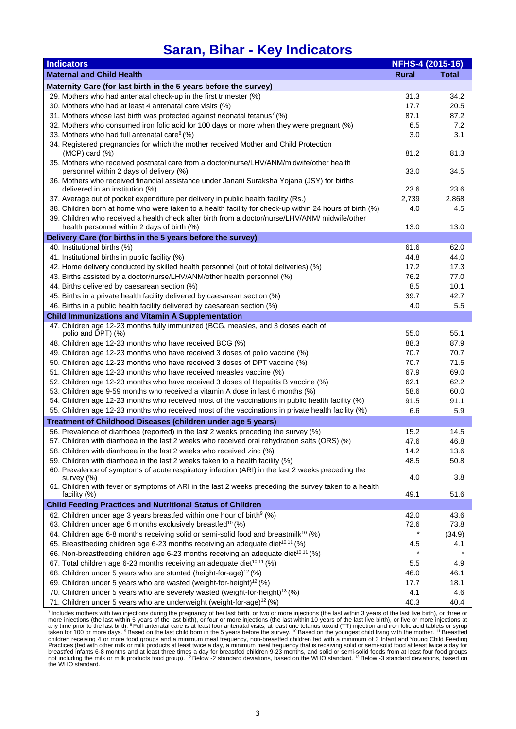### **Saran, Bihar - Key Indicators**

| <b>Indicators</b>                                                                                                                                                                    | NFHS-4 (2015-16) |              |
|--------------------------------------------------------------------------------------------------------------------------------------------------------------------------------------|------------------|--------------|
| <b>Maternal and Child Health</b>                                                                                                                                                     | <b>Rural</b>     | <b>Total</b> |
| Maternity Care (for last birth in the 5 years before the survey)                                                                                                                     |                  |              |
| 29. Mothers who had antenatal check-up in the first trimester (%)                                                                                                                    | 31.3             | 34.2         |
| 30. Mothers who had at least 4 antenatal care visits (%)                                                                                                                             | 17.7             | 20.5         |
| 31. Mothers whose last birth was protected against neonatal tetanus <sup>7</sup> (%)                                                                                                 | 87.1             | 87.2         |
| 32. Mothers who consumed iron folic acid for 100 days or more when they were pregnant (%)                                                                                            | 6.5              | 7.2          |
| 33. Mothers who had full antenatal care <sup>8</sup> (%)                                                                                                                             | 3.0              | 3.1          |
| 34. Registered pregnancies for which the mother received Mother and Child Protection<br>$(MCP)$ card $(\%)$                                                                          | 81.2             | 81.3         |
| 35. Mothers who received postnatal care from a doctor/nurse/LHV/ANM/midwife/other health<br>personnel within 2 days of delivery (%)                                                  | 33.0             | 34.5         |
| 36. Mothers who received financial assistance under Janani Suraksha Yojana (JSY) for births<br>delivered in an institution (%)                                                       | 23.6             | 23.6         |
| 37. Average out of pocket expenditure per delivery in public health facility (Rs.)                                                                                                   | 2,739            | 2,868        |
| 38. Children born at home who were taken to a health facility for check-up within 24 hours of birth (%)                                                                              | 4.0              | 4.5          |
| 39. Children who received a health check after birth from a doctor/nurse/LHV/ANM/ midwife/other<br>health personnel within 2 days of birth (%)                                       | 13.0             | 13.0         |
| Delivery Care (for births in the 5 years before the survey)                                                                                                                          |                  |              |
| 40. Institutional births (%)                                                                                                                                                         | 61.6             | 62.0         |
| 41. Institutional births in public facility (%)                                                                                                                                      | 44.8             | 44.0         |
| 42. Home delivery conducted by skilled health personnel (out of total deliveries) (%)                                                                                                | 17.2             | 17.3         |
| 43. Births assisted by a doctor/nurse/LHV/ANM/other health personnel (%)                                                                                                             | 76.2             | 77.0         |
| 44. Births delivered by caesarean section (%)                                                                                                                                        | 8.5              | 10.1         |
| 45. Births in a private health facility delivered by caesarean section (%)                                                                                                           | 39.7             | 42.7         |
| 46. Births in a public health facility delivered by caesarean section (%)                                                                                                            | 4.0              | 5.5          |
| <b>Child Immunizations and Vitamin A Supplementation</b>                                                                                                                             |                  |              |
| 47. Children age 12-23 months fully immunized (BCG, measles, and 3 doses each of                                                                                                     |                  |              |
| polio and DPT) (%)                                                                                                                                                                   | 55.0             | 55.1         |
| 48. Children age 12-23 months who have received BCG (%)                                                                                                                              | 88.3             | 87.9         |
| 49. Children age 12-23 months who have received 3 doses of polio vaccine (%)                                                                                                         | 70.7             | 70.7         |
| 50. Children age 12-23 months who have received 3 doses of DPT vaccine (%)                                                                                                           | 70.7             | 71.5         |
| 51. Children age 12-23 months who have received measles vaccine (%)                                                                                                                  | 67.9<br>62.1     | 69.0<br>62.2 |
| 52. Children age 12-23 months who have received 3 doses of Hepatitis B vaccine (%)<br>53. Children age 9-59 months who received a vitamin A dose in last 6 months (%)                | 58.6             | 60.0         |
| 54. Children age 12-23 months who received most of the vaccinations in public health facility (%)                                                                                    | 91.5             | 91.1         |
| 55. Children age 12-23 months who received most of the vaccinations in private health facility (%)                                                                                   | 6.6              | 5.9          |
| Treatment of Childhood Diseases (children under age 5 years)                                                                                                                         |                  |              |
| 56. Prevalence of diarrhoea (reported) in the last 2 weeks preceding the survey (%)                                                                                                  | 15.2             | 14.5         |
| 57. Children with diarrhoea in the last 2 weeks who received oral rehydration salts (ORS) (%)                                                                                        | 47.6             | 46.8         |
| 58. Children with diarrhoea in the last 2 weeks who received zinc (%)                                                                                                                | 14.2             | 13.6         |
| 59. Children with diarrhoea in the last 2 weeks taken to a health facility (%)                                                                                                       | 48.5             | 50.8         |
| 60. Prevalence of symptoms of acute respiratory infection (ARI) in the last 2 weeks preceding the                                                                                    |                  |              |
| survey (%)<br>61. Children with fever or symptoms of ARI in the last 2 weeks preceding the survey taken to a health                                                                  | 4.0              | 3.8          |
| facility (%)                                                                                                                                                                         | 49.1             | 51.6         |
| <b>Child Feeding Practices and Nutritional Status of Children</b>                                                                                                                    |                  |              |
| 62. Children under age 3 years breastfed within one hour of birth <sup>9</sup> (%)                                                                                                   | 42.0             | 43.6         |
| 63. Children under age 6 months exclusively breastfed <sup>10</sup> (%)                                                                                                              | 72.6<br>*        | 73.8         |
| 64. Children age 6-8 months receiving solid or semi-solid food and breastmilk <sup>10</sup> (%)                                                                                      |                  | (34.9)       |
| 65. Breastfeeding children age 6-23 months receiving an adequate diet <sup>10,11</sup> (%)                                                                                           | 4.5              | 4.1          |
| 66. Non-breastfeeding children age 6-23 months receiving an adequate diet <sup>10,11</sup> (%)<br>67. Total children age 6-23 months receiving an adequate diet <sup>10,11</sup> (%) | 5.5              | 4.9          |
| 68. Children under 5 years who are stunted (height-for-age) <sup>12</sup> (%)                                                                                                        | 46.0             | 46.1         |
| 69. Children under 5 years who are wasted (weight-for-height) <sup>12</sup> (%)                                                                                                      | 17.7             | 18.1         |
| 70. Children under 5 years who are severely wasted (weight-for-height) <sup>13</sup> (%)                                                                                             | 4.1              | 4.6          |
| 71. Children under 5 years who are underweight (weight-for-age) <sup>12</sup> (%)                                                                                                    | 40.3             | 40.4         |

<sup>7</sup> Includes mothers with two injections during the pregnancy of her last birth, or two or more injections (the last within 3 years of the last live birth), or three or more injections (the last within 3 years of the last the WHO standard.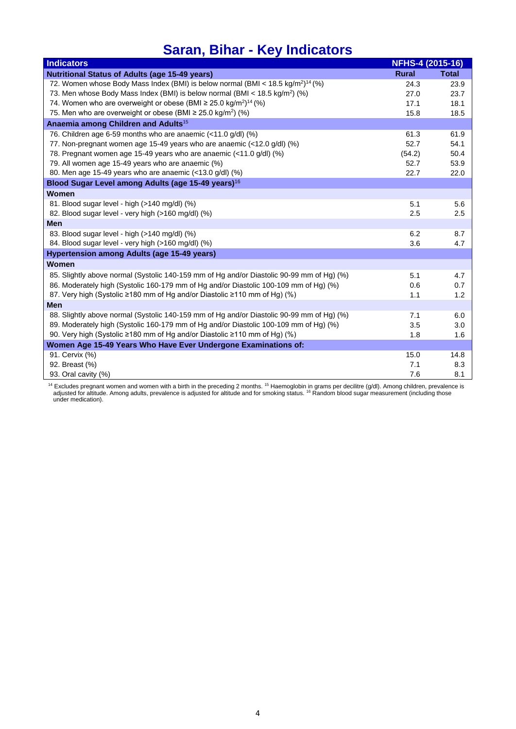## **Saran, Bihar - Key Indicators**

| <b>Indicators</b>                                                                                       | NFHS-4 (2015-16) |              |
|---------------------------------------------------------------------------------------------------------|------------------|--------------|
| <b>Nutritional Status of Adults (age 15-49 years)</b>                                                   | <b>Rural</b>     | <b>Total</b> |
| 72. Women whose Body Mass Index (BMI) is below normal (BMI < 18.5 kg/m <sup>2</sup> ) <sup>14</sup> (%) | 24.3             | 23.9         |
| 73. Men whose Body Mass Index (BMI) is below normal (BMI < $18.5 \text{ kg/m}^2$ ) (%)                  | 27.0             | 23.7         |
| 74. Women who are overweight or obese (BMI $\geq$ 25.0 kg/m <sup>2</sup> ) <sup>14</sup> (%)            | 17.1             | 18.1         |
| 75. Men who are overweight or obese (BMI $\geq$ 25.0 kg/m <sup>2</sup> ) (%)                            | 15.8             | 18.5         |
| Anaemia among Children and Adults <sup>15</sup>                                                         |                  |              |
| 76. Children age 6-59 months who are anaemic (<11.0 g/dl) (%)                                           | 61.3             | 61.9         |
| 77. Non-pregnant women age 15-49 years who are anaemic (<12.0 g/dl) (%)                                 | 52.7             | 54.1         |
| 78. Pregnant women age 15-49 years who are anaemic (<11.0 g/dl) (%)                                     | (54.2)           | 50.4         |
| 79. All women age 15-49 years who are anaemic (%)                                                       | 52.7             | 53.9         |
| 80. Men age 15-49 years who are anaemic (<13.0 g/dl) (%)                                                | 22.7             | 22.0         |
| Blood Sugar Level among Adults (age 15-49 years) <sup>16</sup>                                          |                  |              |
| Women                                                                                                   |                  |              |
| 81. Blood sugar level - high (>140 mg/dl) (%)                                                           | 5.1              | 5.6          |
| 82. Blood sugar level - very high (>160 mg/dl) (%)                                                      | 2.5              | 2.5          |
| <b>Men</b>                                                                                              |                  |              |
| 83. Blood sugar level - high (>140 mg/dl) (%)                                                           | 6.2              | 8.7          |
| 84. Blood sugar level - very high (>160 mg/dl) (%)                                                      | 3.6              | 4.7          |
| Hypertension among Adults (age 15-49 years)                                                             |                  |              |
| <b>Women</b>                                                                                            |                  |              |
| 85. Slightly above normal (Systolic 140-159 mm of Hg and/or Diastolic 90-99 mm of Hg) (%)               | 5.1              | 4.7          |
| 86. Moderately high (Systolic 160-179 mm of Hg and/or Diastolic 100-109 mm of Hg) (%)                   | 0.6              | 0.7          |
| 87. Very high (Systolic ≥180 mm of Hg and/or Diastolic ≥110 mm of Hg) (%)                               | 1.1              | 1.2          |
| <b>Men</b>                                                                                              |                  |              |
| 88. Slightly above normal (Systolic 140-159 mm of Hg and/or Diastolic 90-99 mm of Hg) (%)               | 7.1              | 6.0          |
| 89. Moderately high (Systolic 160-179 mm of Hg and/or Diastolic 100-109 mm of Hg) (%)                   | 3.5              | 3.0          |
| 90. Very high (Systolic ≥180 mm of Hg and/or Diastolic ≥110 mm of Hg) (%)                               | 1.8              | 1.6          |
| Women Age 15-49 Years Who Have Ever Undergone Examinations of:                                          |                  |              |
| 91. Cervix (%)                                                                                          | 15.0             | 14.8         |
| 92. Breast (%)                                                                                          | 7.1              | 8.3          |
| 93. Oral cavity (%)                                                                                     | 7.6              | 8.1          |

<sup>14</sup> Excludes pregnant women and women with a birth in the preceding 2 months. <sup>15</sup> Haemoglobin in grams per decilitre (g/dl). Among children, prevalence is<br>adjusted for altitude. Among adults, prevalence is adjusted for a